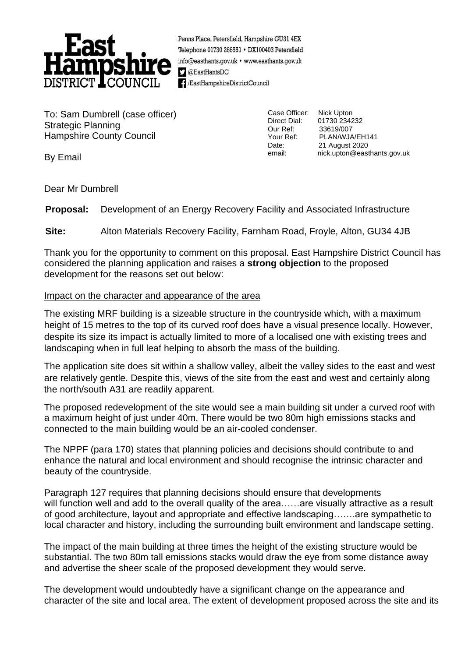

Penns Place, Petersfield, Hampshire GU31 4EX Telephone 01730 266551 · DX100403 Petersfield info@easthants.gov.uk • www.easthants.gov.uk  $\sum$  @EastHantsDC EastHampshireDistrictCouncil

To: Sam Dumbrell (case officer) Strategic Planning Hampshire County Council

Case Officer: Nick Upton

Direct Dial: 01730 234232<br>Our Ref: 33619/007 33619/007 Your Ref: PLAN/WJA/EH141<br>Date: 21 August 2020 21 August 2020 email: nick.upton@easthants.gov.uk

By Email

Dear Mr Dumbrell

**Proposal:** Development of an Energy Recovery Facility and Associated Infrastructure

**Site:** Alton Materials Recovery Facility, Farnham Road, Froyle, Alton, GU34 4JB

Thank you for the opportunity to comment on this proposal. East Hampshire District Council has considered the planning application and raises a **strong objection** to the proposed development for the reasons set out below:

# Impact on the character and appearance of the area

The existing MRF building is a sizeable structure in the countryside which, with a maximum height of 15 metres to the top of its curved roof does have a visual presence locally. However, despite its size its impact is actually limited to more of a localised one with existing trees and landscaping when in full leaf helping to absorb the mass of the building.

The application site does sit within a shallow valley, albeit the valley sides to the east and west are relatively gentle. Despite this, views of the site from the east and west and certainly along the north/south A31 are readily apparent.

The proposed redevelopment of the site would see a main building sit under a curved roof with a maximum height of just under 40m. There would be two 80m high emissions stacks and connected to the main building would be an air-cooled condenser.

The NPPF (para 170) states that planning policies and decisions should contribute to and enhance the natural and local environment and should recognise the intrinsic character and beauty of the countryside.

Paragraph 127 requires that planning decisions should ensure that developments will function well and add to the overall quality of the area.....are visually attractive as a result of good architecture, layout and appropriate and effective landscaping…….are sympathetic to local character and history, including the surrounding built environment and landscape setting.

The impact of the main building at three times the height of the existing structure would be substantial. The two 80m tall emissions stacks would draw the eye from some distance away and advertise the sheer scale of the proposed development they would serve.

The development would undoubtedly have a significant change on the appearance and character of the site and local area. The extent of development proposed across the site and its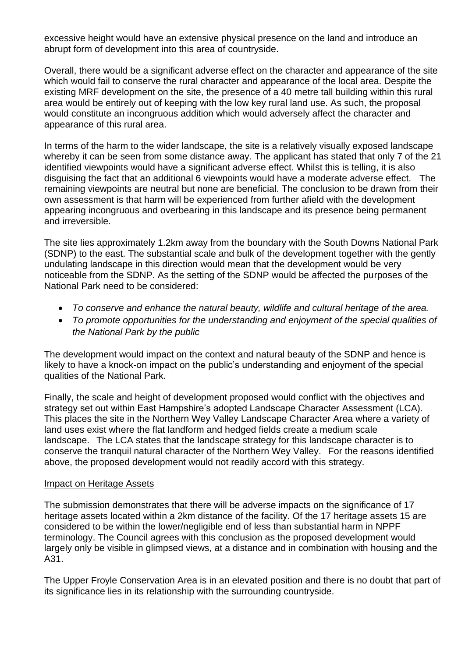excessive height would have an extensive physical presence on the land and introduce an abrupt form of development into this area of countryside.

Overall, there would be a significant adverse effect on the character and appearance of the site which would fail to conserve the rural character and appearance of the local area. Despite the existing MRF development on the site, the presence of a 40 metre tall building within this rural area would be entirely out of keeping with the low key rural land use. As such, the proposal would constitute an incongruous addition which would adversely affect the character and appearance of this rural area.

In terms of the harm to the wider landscape, the site is a relatively visually exposed landscape whereby it can be seen from some distance away. The applicant has stated that only 7 of the 21 identified viewpoints would have a significant adverse effect. Whilst this is telling, it is also disguising the fact that an additional 6 viewpoints would have a moderate adverse effect. The remaining viewpoints are neutral but none are beneficial. The conclusion to be drawn from their own assessment is that harm will be experienced from further afield with the development appearing incongruous and overbearing in this landscape and its presence being permanent and irreversible.

The site lies approximately 1.2km away from the boundary with the South Downs National Park (SDNP) to the east. The substantial scale and bulk of the development together with the gently undulating landscape in this direction would mean that the development would be very noticeable from the SDNP. As the setting of the SDNP would be affected the purposes of the National Park need to be considered:

- *To conserve and enhance the natural beauty, wildlife and cultural heritage of the area.*
- *To promote opportunities for the understanding and enjoyment of the special qualities of the National Park by the public*

The development would impact on the context and natural beauty of the SDNP and hence is likely to have a knock-on impact on the public's understanding and enjoyment of the special qualities of the National Park.

Finally, the scale and height of development proposed would conflict with the objectives and strategy set out within East Hampshire's adopted Landscape Character Assessment (LCA). This places the site in the Northern Wey Valley Landscape Character Area where a variety of land uses exist where the flat landform and hedged fields create a medium scale landscape. The LCA states that the landscape strategy for this landscape character is to conserve the tranquil natural character of the Northern Wey Valley. For the reasons identified above, the proposed development would not readily accord with this strategy.

#### Impact on Heritage Assets

The submission demonstrates that there will be adverse impacts on the significance of 17 heritage assets located within a 2km distance of the facility. Of the 17 heritage assets 15 are considered to be within the lower/negligible end of less than substantial harm in NPPF terminology. The Council agrees with this conclusion as the proposed development would largely only be visible in glimpsed views, at a distance and in combination with housing and the A31.

The Upper Froyle Conservation Area is in an elevated position and there is no doubt that part of its significance lies in its relationship with the surrounding countryside.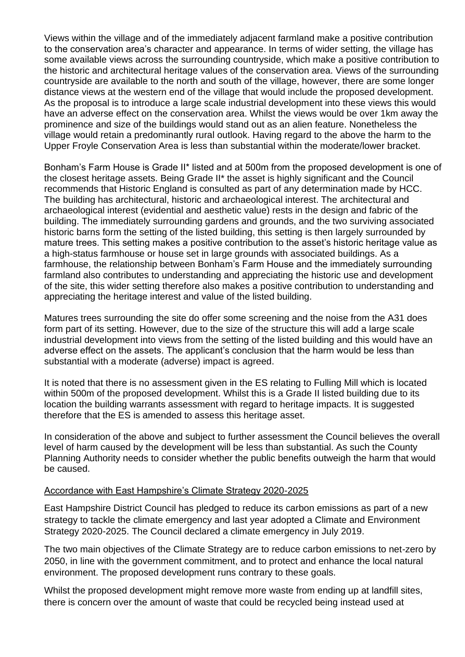Views within the village and of the immediately adjacent farmland make a positive contribution to the conservation area's character and appearance. In terms of wider setting, the village has some available views across the surrounding countryside, which make a positive contribution to the historic and architectural heritage values of the conservation area. Views of the surrounding countryside are available to the north and south of the village, however, there are some longer distance views at the western end of the village that would include the proposed development. As the proposal is to introduce a large scale industrial development into these views this would have an adverse effect on the conservation area. Whilst the views would be over 1km away the prominence and size of the buildings would stand out as an alien feature. Nonetheless the village would retain a predominantly rural outlook. Having regard to the above the harm to the Upper Froyle Conservation Area is less than substantial within the moderate/lower bracket.

Bonham's Farm House is Grade II\* listed and at 500m from the proposed development is one of the closest heritage assets. Being Grade II\* the asset is highly significant and the Council recommends that Historic England is consulted as part of any determination made by HCC. The building has architectural, historic and archaeological interest. The architectural and archaeological interest (evidential and aesthetic value) rests in the design and fabric of the building. The immediately surrounding gardens and grounds, and the two surviving associated historic barns form the setting of the listed building, this setting is then largely surrounded by mature trees. This setting makes a positive contribution to the asset's historic heritage value as a high-status farmhouse or house set in large grounds with associated buildings. As a farmhouse, the relationship between Bonham's Farm House and the immediately surrounding farmland also contributes to understanding and appreciating the historic use and development of the site, this wider setting therefore also makes a positive contribution to understanding and appreciating the heritage interest and value of the listed building.

Matures trees surrounding the site do offer some screening and the noise from the A31 does form part of its setting. However, due to the size of the structure this will add a large scale industrial development into views from the setting of the listed building and this would have an adverse effect on the assets. The applicant's conclusion that the harm would be less than substantial with a moderate (adverse) impact is agreed.

It is noted that there is no assessment given in the ES relating to Fulling Mill which is located within 500m of the proposed development. Whilst this is a Grade II listed building due to its location the building warrants assessment with regard to heritage impacts. It is suggested therefore that the ES is amended to assess this heritage asset.

In consideration of the above and subject to further assessment the Council believes the overall level of harm caused by the development will be less than substantial. As such the County Planning Authority needs to consider whether the public benefits outweigh the harm that would be caused.

#### Accordance with East Hampshire's Climate Strategy 2020-2025

East Hampshire District Council has pledged to reduce its carbon emissions as part of a new strategy to tackle the climate emergency and last year adopted a Climate and Environment Strategy 2020-2025. The Council declared a climate emergency in July 2019.

The two main objectives of the Climate Strategy are to reduce carbon emissions to net-zero by 2050, in line with the government commitment, and to protect and enhance the local natural environment. The proposed development runs contrary to these goals.

Whilst the proposed development might remove more waste from ending up at landfill sites, there is concern over the amount of waste that could be recycled being instead used at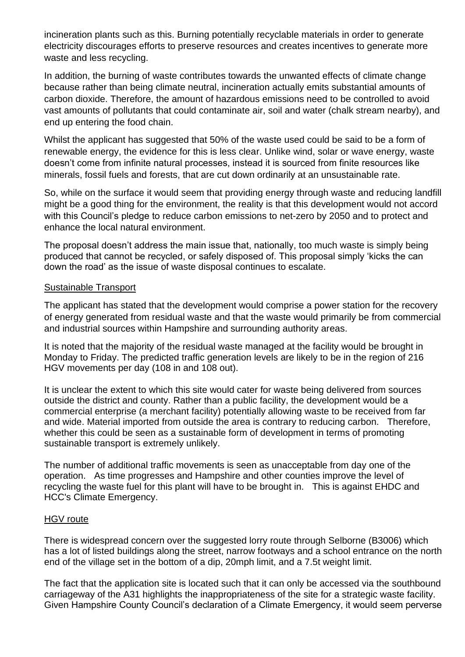incineration plants such as this. Burning potentially recyclable materials in order to generate electricity discourages efforts to preserve resources and creates incentives to generate more waste and less recycling.

In addition, the burning of waste contributes towards the unwanted effects of climate change because rather than being climate neutral, incineration actually emits substantial amounts of carbon dioxide. Therefore, the amount of hazardous emissions need to be controlled to avoid vast amounts of pollutants that could contaminate air, soil and water (chalk stream nearby), and end up entering the food chain.

Whilst the applicant has suggested that 50% of the waste used could be said to be a form of renewable energy, the evidence for this is less clear. Unlike wind, solar or wave energy, waste doesn't come from infinite natural processes, instead it is sourced from finite resources like minerals, fossil fuels and forests, that are cut down ordinarily at an unsustainable rate.

So, while on the surface it would seem that providing energy through waste and reducing landfill might be a good thing for the environment, the reality is that this development would not accord with this Council's pledge to reduce carbon emissions to net-zero by 2050 and to protect and enhance the local natural environment.

The proposal doesn't address the main issue that, nationally, too much waste is simply being produced that cannot be recycled, or safely disposed of. This proposal simply 'kicks the can down the road' as the issue of waste disposal continues to escalate.

#### Sustainable Transport

The applicant has stated that the development would comprise a power station for the recovery of energy generated from residual waste and that the waste would primarily be from commercial and industrial sources within Hampshire and surrounding authority areas.

It is noted that the majority of the residual waste managed at the facility would be brought in Monday to Friday. The predicted traffic generation levels are likely to be in the region of 216 HGV movements per day (108 in and 108 out).

It is unclear the extent to which this site would cater for waste being delivered from sources outside the district and county. Rather than a public facility, the development would be a commercial enterprise (a merchant facility) potentially allowing waste to be received from far and wide. Material imported from outside the area is contrary to reducing carbon. Therefore, whether this could be seen as a sustainable form of development in terms of promoting sustainable transport is extremely unlikely.

The number of additional traffic movements is seen as unacceptable from day one of the operation. As time progresses and Hampshire and other counties improve the level of recycling the waste fuel for this plant will have to be brought in. This is against EHDC and HCC's Climate Emergency.

### HGV route

There is widespread concern over the suggested lorry route through Selborne (B3006) which has a lot of listed buildings along the street, narrow footways and a school entrance on the north end of the village set in the bottom of a dip, 20mph limit, and a 7.5t weight limit.

The fact that the application site is located such that it can only be accessed via the southbound carriageway of the A31 highlights the inappropriateness of the site for a strategic waste facility. Given Hampshire County Council's declaration of a Climate Emergency, it would seem perverse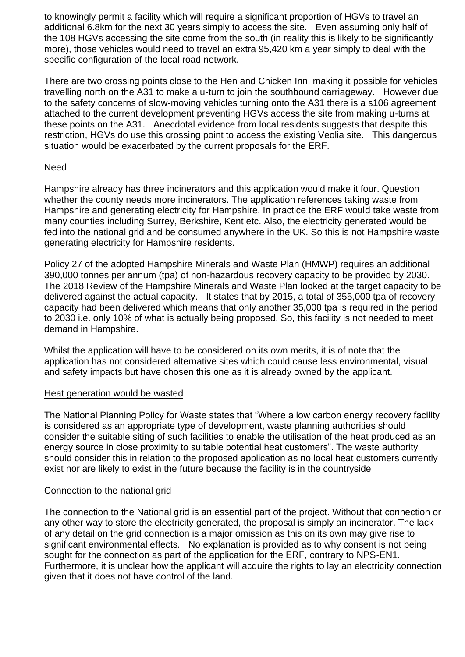to knowingly permit a facility which will require a significant proportion of HGVs to travel an additional 6.8km for the next 30 years simply to access the site. Even assuming only half of the 108 HGVs accessing the site come from the south (in reality this is likely to be significantly more), those vehicles would need to travel an extra 95,420 km a year simply to deal with the specific configuration of the local road network.

There are two crossing points close to the Hen and Chicken Inn, making it possible for vehicles travelling north on the A31 to make a u-turn to join the southbound carriageway. However due to the safety concerns of slow-moving vehicles turning onto the A31 there is a s106 agreement attached to the current development preventing HGVs access the site from making u-turns at these points on the A31. Anecdotal evidence from local residents suggests that despite this restriction, HGVs do use this crossing point to access the existing Veolia site. This dangerous situation would be exacerbated by the current proposals for the ERF.

# Need

Hampshire already has three incinerators and this application would make it four. Question whether the county needs more incinerators. The application references taking waste from Hampshire and generating electricity for Hampshire. In practice the ERF would take waste from many counties including Surrey, Berkshire, Kent etc. Also, the electricity generated would be fed into the national grid and be consumed anywhere in the UK. So this is not Hampshire waste generating electricity for Hampshire residents.

Policy 27 of the adopted Hampshire Minerals and Waste Plan (HMWP) requires an additional 390,000 tonnes per annum (tpa) of non-hazardous recovery capacity to be provided by 2030. The 2018 Review of the Hampshire Minerals and Waste Plan looked at the target capacity to be delivered against the actual capacity. It states that by 2015, a total of 355,000 tpa of recovery capacity had been delivered which means that only another 35,000 tpa is required in the period to 2030 i.e. only 10% of what is actually being proposed. So, this facility is not needed to meet demand in Hampshire.

Whilst the application will have to be considered on its own merits, it is of note that the application has not considered alternative sites which could cause less environmental, visual and safety impacts but have chosen this one as it is already owned by the applicant.

### Heat generation would be wasted

The National Planning Policy for Waste states that "Where a low carbon energy recovery facility is considered as an appropriate type of development, waste planning authorities should consider the suitable siting of such facilities to enable the utilisation of the heat produced as an energy source in close proximity to suitable potential heat customers". The waste authority should consider this in relation to the proposed application as no local heat customers currently exist nor are likely to exist in the future because the facility is in the countryside

### Connection to the national grid

The connection to the National grid is an essential part of the project. Without that connection or any other way to store the electricity generated, the proposal is simply an incinerator. The lack of any detail on the grid connection is a major omission as this on its own may give rise to significant environmental effects. No explanation is provided as to why consent is not being sought for the connection as part of the application for the ERF, contrary to NPS-EN1. Furthermore, it is unclear how the applicant will acquire the rights to lay an electricity connection given that it does not have control of the land.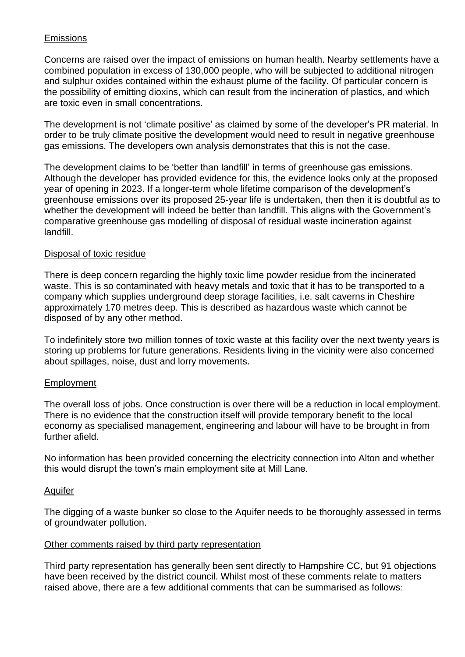# Emissions

Concerns are raised over the impact of emissions on human health. Nearby settlements have a combined population in excess of 130,000 people, who will be subjected to additional nitrogen and sulphur oxides contained within the exhaust plume of the facility. Of particular concern is the possibility of emitting dioxins, which can result from the incineration of plastics, and which are toxic even in small concentrations.

The development is not 'climate positive' as claimed by some of the developer's PR material. In order to be truly climate positive the development would need to result in negative greenhouse gas emissions. The developers own analysis demonstrates that this is not the case.

The development claims to be 'better than landfill' in terms of greenhouse gas emissions. Although the developer has provided evidence for this, the evidence looks only at the proposed year of opening in 2023. If a longer-term whole lifetime comparison of the development's greenhouse emissions over its proposed 25-year life is undertaken, then then it is doubtful as to whether the development will indeed be better than landfill. This aligns with the Government's comparative greenhouse gas modelling of disposal of residual waste incineration against landfill.

### Disposal of toxic residue

There is deep concern regarding the highly toxic lime powder residue from the incinerated waste. This is so contaminated with heavy metals and toxic that it has to be transported to a company which supplies underground deep storage facilities, i.e. salt caverns in Cheshire approximately 170 metres deep. This is described as hazardous waste which cannot be disposed of by any other method.

To indefinitely store two million tonnes of toxic waste at this facility over the next twenty years is storing up problems for future generations. Residents living in the vicinity were also concerned about spillages, noise, dust and lorry movements.

### Employment

The overall loss of jobs. Once construction is over there will be a reduction in local employment. There is no evidence that the construction itself will provide temporary benefit to the local economy as specialised management, engineering and labour will have to be brought in from further afield.

No information has been provided concerning the electricity connection into Alton and whether this would disrupt the town's main employment site at Mill Lane.

### Aquifer

The digging of a waste bunker so close to the Aquifer needs to be thoroughly assessed in terms of groundwater pollution.

### Other comments raised by third party representation

Third party representation has generally been sent directly to Hampshire CC, but 91 objections have been received by the district council. Whilst most of these comments relate to matters raised above, there are a few additional comments that can be summarised as follows: